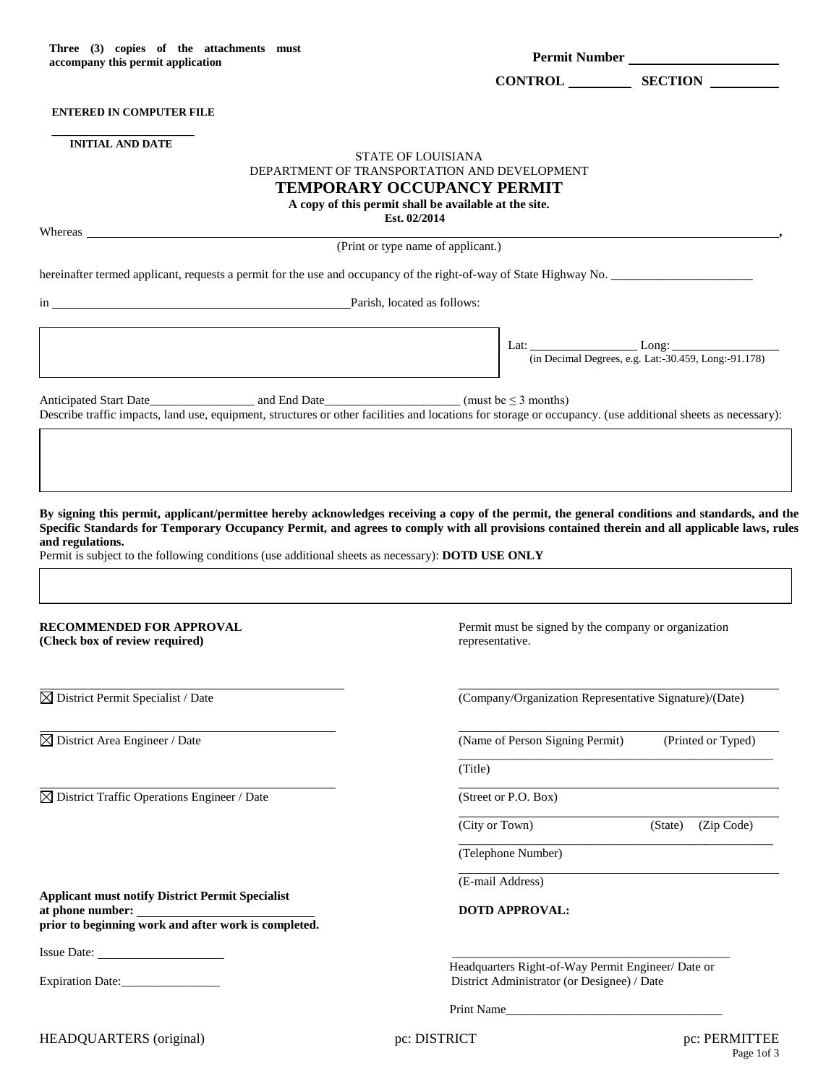### **Permit Number**

CONTROL SECTION

#### **ENTERED IN COMPUTER FILE**

**\_\_\_\_\_\_\_\_\_\_\_\_\_\_\_\_\_\_\_\_\_\_\_\_\_\_ INITIAL AND DATE** 

# STATE OF LOUISIANA DEPARTMENT OF TRANSPORTATION AND DEVELOPMENT **TEMPORARY OCCUPANCY PERMIT A copy of this permit shall be available at the site.**

**Est. 02/2014**

Whereas **,**

(Print or type name of applicant.)

hereinafter termed applicant, requests a permit for the use and occupancy of the right-of-way of State Highway No.

in Parish, located as follows:

Lat: Long: (in Decimal Degrees, e.g. Lat:-30.459, Long:-91.178)

Anticipated Start Date\_\_\_\_\_\_\_\_\_\_\_\_\_\_\_\_\_ and End Date\_\_\_\_\_\_\_\_\_\_\_\_\_\_\_\_\_\_\_\_\_\_ (must be ≤ 3 months) Describe traffic impacts, land use, equipment, structures or other facilities and locations for storage or occupancy. (use additional sheets as necessary):

**By signing this permit, applicant/permittee hereby acknowledges receiving a copy of the permit, the general conditions and standards, and the Specific Standards for Temporary Occupancy Permit, and agrees to comply with all provisions contained therein and all applicable laws, rules and regulations.**

Permit is subject to the following conditions (use additional sheets as necessary): **DOTD USE ONLY**

 $\overline{a}$ 

**(Check box of review required)** representative.

District Traffic Operations Engineer / Date (Street or P.O. Box)

**RECOMMENDED FOR APPROVAL** Permit must be signed by the company or organization

District Permit Specialist / Date (Company/Organization Representative Signature)/(Date)

District Area Engineer / Date (Name of Person Signing Permit) (Printed or Typed) \_\_\_\_\_\_\_\_\_\_\_\_\_\_\_\_\_\_\_\_\_\_\_\_\_\_\_\_\_\_\_\_\_\_\_\_\_\_\_\_\_\_\_\_\_\_\_\_\_\_\_

\_\_\_\_\_\_\_\_\_\_\_\_\_\_\_\_\_\_\_\_\_\_\_\_\_\_\_\_\_\_\_\_\_\_\_\_\_\_\_\_\_\_\_\_\_\_\_\_\_\_\_

(Title)

(City or Town) (State) (Zip Code)

(Telephone Number)

(E-mail Address)

 Headquarters Right-of-Way Permit Engineer/ Date or Expiration Date:\_\_\_\_\_\_\_\_\_\_\_\_\_\_\_\_ District Administrator (or Designee) / Date

Print Name

**Applicant must notify District Permit Specialist at phone number: DOTD APPROVAL: prior to beginning work and after work is completed.**

Issue Date: \_\_\_\_\_\_\_\_\_\_\_\_\_\_\_\_\_\_\_\_\_\_\_\_\_\_\_\_\_\_\_\_\_\_\_\_\_\_\_\_\_\_\_\_\_

HEADQUARTERS (original)  $pc: DISTRICT$  pc:  $p$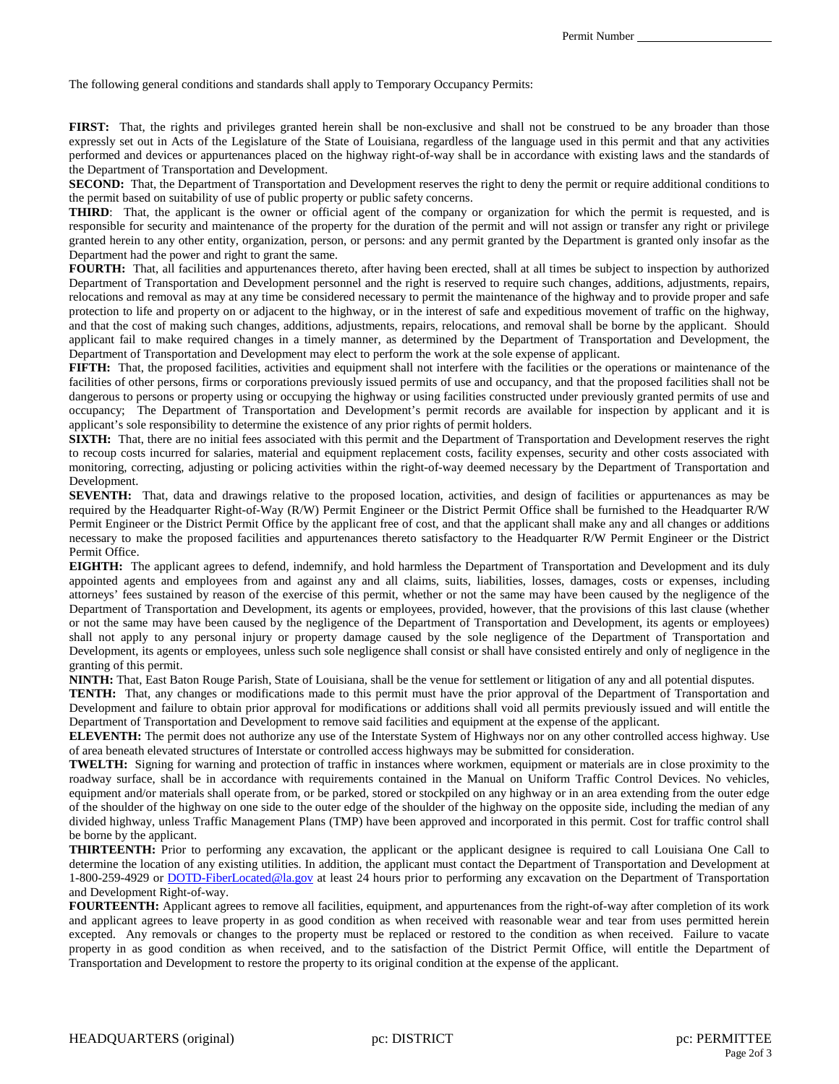The following general conditions and standards shall apply to Temporary Occupancy Permits:

**FIRST:** That, the rights and privileges granted herein shall be non-exclusive and shall not be construed to be any broader than those expressly set out in Acts of the Legislature of the State of Louisiana, regardless of the language used in this permit and that any activities performed and devices or appurtenances placed on the highway right-of-way shall be in accordance with existing laws and the standards of the Department of Transportation and Development.

**SECOND:** That, the Department of Transportation and Development reserves the right to deny the permit or require additional conditions to the permit based on suitability of use of public property or public safety concerns.

**THIRD**: That, the applicant is the owner or official agent of the company or organization for which the permit is requested, and is responsible for security and maintenance of the property for the duration of the permit and will not assign or transfer any right or privilege granted herein to any other entity, organization, person, or persons: and any permit granted by the Department is granted only insofar as the Department had the power and right to grant the same.

**FOURTH:** That, all facilities and appurtenances thereto, after having been erected, shall at all times be subject to inspection by authorized Department of Transportation and Development personnel and the right is reserved to require such changes, additions, adjustments, repairs, relocations and removal as may at any time be considered necessary to permit the maintenance of the highway and to provide proper and safe protection to life and property on or adjacent to the highway, or in the interest of safe and expeditious movement of traffic on the highway, and that the cost of making such changes, additions, adjustments, repairs, relocations, and removal shall be borne by the applicant. Should applicant fail to make required changes in a timely manner, as determined by the Department of Transportation and Development, the Department of Transportation and Development may elect to perform the work at the sole expense of applicant.

**FIFTH:** That, the proposed facilities, activities and equipment shall not interfere with the facilities or the operations or maintenance of the facilities of other persons, firms or corporations previously issued permits of use and occupancy, and that the proposed facilities shall not be dangerous to persons or property using or occupying the highway or using facilities constructed under previously granted permits of use and occupancy; The Department of Transportation and Development's permit records are available for inspection by applicant and it is applicant's sole responsibility to determine the existence of any prior rights of permit holders.

**SIXTH:** That, there are no initial fees associated with this permit and the Department of Transportation and Development reserves the right to recoup costs incurred for salaries, material and equipment replacement costs, facility expenses, security and other costs associated with monitoring, correcting, adjusting or policing activities within the right-of-way deemed necessary by the Department of Transportation and Development.

**SEVENTH:** That, data and drawings relative to the proposed location, activities, and design of facilities or appurtenances as may be required by the Headquarter Right-of-Way (R/W) Permit Engineer or the District Permit Office shall be furnished to the Headquarter R/W Permit Engineer or the District Permit Office by the applicant free of cost, and that the applicant shall make any and all changes or additions necessary to make the proposed facilities and appurtenances thereto satisfactory to the Headquarter R/W Permit Engineer or the District Permit Office.

**EIGHTH:** The applicant agrees to defend, indemnify, and hold harmless the Department of Transportation and Development and its duly appointed agents and employees from and against any and all claims, suits, liabilities, losses, damages, costs or expenses, including attorneys' fees sustained by reason of the exercise of this permit, whether or not the same may have been caused by the negligence of the Department of Transportation and Development, its agents or employees, provided, however, that the provisions of this last clause (whether or not the same may have been caused by the negligence of the Department of Transportation and Development, its agents or employees) shall not apply to any personal injury or property damage caused by the sole negligence of the Department of Transportation and Development, its agents or employees, unless such sole negligence shall consist or shall have consisted entirely and only of negligence in the granting of this permit.

**NINTH:** That, East Baton Rouge Parish, State of Louisiana, shall be the venue for settlement or litigation of any and all potential disputes.

**TENTH:** That, any changes or modifications made to this permit must have the prior approval of the Department of Transportation and Development and failure to obtain prior approval for modifications or additions shall void all permits previously issued and will entitle the Department of Transportation and Development to remove said facilities and equipment at the expense of the applicant.

**ELEVENTH:** The permit does not authorize any use of the Interstate System of Highways nor on any other controlled access highway. Use of area beneath elevated structures of Interstate or controlled access highways may be submitted for consideration.

**TWELTH:** Signing for warning and protection of traffic in instances where workmen, equipment or materials are in close proximity to the roadway surface, shall be in accordance with requirements contained in the Manual on Uniform Traffic Control Devices. No vehicles, equipment and/or materials shall operate from, or be parked, stored or stockpiled on any highway or in an area extending from the outer edge of the shoulder of the highway on one side to the outer edge of the shoulder of the highway on the opposite side, including the median of any divided highway, unless Traffic Management Plans (TMP) have been approved and incorporated in this permit. Cost for traffic control shall be borne by the applicant.

**THIRTEENTH:** Prior to performing any excavation, the applicant or the applicant designee is required to call Louisiana One Call to determine the location of any existing utilities. In addition, the applicant must contact the Department of Transportation and Development at 1-800-259-4929 or [DOTD-FiberLocated@la.gov](mailto:DOTD-FiberLocated@la.gov) at least 24 hours prior to performing any excavation on the Department of Transportation and Development Right-of-way.

**FOURTEENTH:** Applicant agrees to remove all facilities, equipment, and appurtenances from the right-of-way after completion of its work and applicant agrees to leave property in as good condition as when received with reasonable wear and tear from uses permitted herein excepted. Any removals or changes to the property must be replaced or restored to the condition as when received. Failure to vacate property in as good condition as when received, and to the satisfaction of the District Permit Office, will entitle the Department of Transportation and Development to restore the property to its original condition at the expense of the applicant.